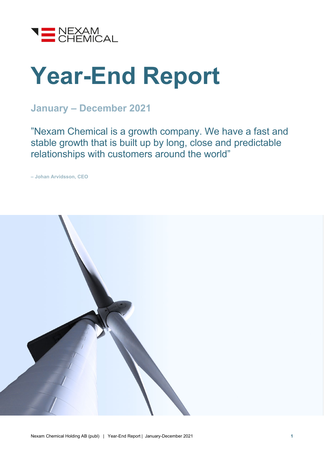

# **Year-End Report**

### **January – December 2021**

"Nexam Chemical is a growth company. We have a fast and stable growth that is built up by long, close and predictable relationships with customers around the world"

**– Johan Arvidsson, CEO**

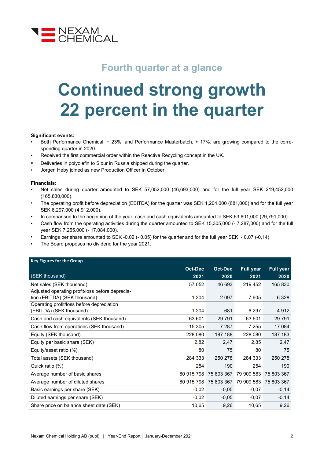

### **Fourth quarter at a glance**

## **Continued strong growth 22 percent in the quarter**

#### **Significant events:**

- Both Performance Chemical, + 23%, and Performance Masterbatch, + 17%, are growing compared to the corresponding quarter in 2020.
- Received the first commercial order within the Reactive Recycling concept in the UK.
- Deliveries in polyolefin to Sibur in Russia shipped during the quarter.
- Jörgen Heby joined as new Production Officer in October.

#### **Financials:**

- Net sales during quarter amounted to SEK 57,052,000 (46,693,000) and for the full year SEK 219,452,000 (165,830,000).
- The operating profit before depreciation (EBITDA) for the quarter was SEK 1,204,000 (681,000) and for the full year SEK 6,297,000 (4,912,000).
- In comparison to the beginning of the year, cash and cash equivalents amounted to SEK 63,601,000 (29,791,000).
- Cash flow from the operating activities during the quarter amounted to SEK 15,305,000 (- 7,287,000) and for the full year SEK 7,255,000 (- 17,084,000).
- Earnings per share amounted to SEK -0.02 (- 0.05) for the quarter and for the full year SEK 0,07 (-0,14).
- The Board proposes no dividend for the year 2021.

| <b>Key Figures for the Group</b>                |                |                |                                  |                  |
|-------------------------------------------------|----------------|----------------|----------------------------------|------------------|
|                                                 | <b>Oct-Dec</b> | <b>Oct-Dec</b> | <b>Full year</b>                 | <b>Full year</b> |
| (SEK thousand)                                  | 2021           | 2020           | 2021                             | 2020             |
| Net sales (SEK thousand)                        | 57 052         | 46 693         | 219 452                          | 165 830          |
| Adjusted operating profit/loss before deprecia- |                |                |                                  |                  |
| tion (EBITDA) (SEK thousand)                    | 1 2 0 4        | 2 0 9 7        | 7 605                            | 6 3 2 8          |
| Operating profit/loss before depreciation       |                |                |                                  |                  |
| (EBITDA) (SEK thousand)                         | 1 2 0 4        | 681            | 6 2 9 7                          | 4 9 1 2          |
| Cash and cash equivalents (SEK thousand)        | 63 601         | 29 7 91        | 63 601                           | 29 7 91          |
| Cash flow from operations (SEK thousand)        | 15 305         | $-7287$        | 7 255                            | $-17084$         |
| Equity (SEK thousand)                           | 228 080        | 187 188        | 228 080                          | 187 183          |
| Equity per basic share (SEK)                    | 2,82           | 2,47           | 2,85                             | 2,47             |
| Equity/asset ratio (%)                          | 80             | 75             | 80                               | 75               |
| Total assets (SEK thousand)                     | 284 333        | 250 278        | 284 333                          | 250 278          |
| Quick ratio (%)                                 | 254            | 190            | 254                              | 190              |
| Average number of basic shares                  | 80 915 798     | 75 803 367     | 79 909 583                       | 75 803 367       |
| Average number of diluted shares                | 80 915 798     |                | 75 803 367 79 909 583 75 803 367 |                  |
| Basic earnings per share (SEK)                  | $-0,02$        | $-0.05$        | $-0.07$                          | $-0,14$          |
| Diluted earnings per share (SEK)                | $-0,02$        | $-0,05$        | $-0,07$                          | $-0,14$          |
| Share price on balance sheet date (SEK)         | 10,65          | 9,26           | 10,65                            | 9,26             |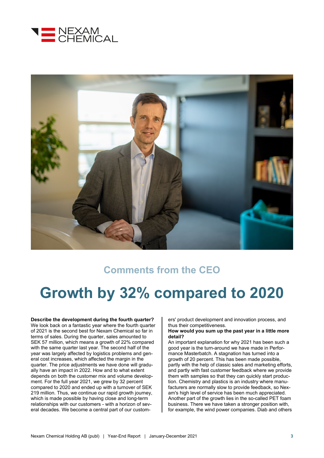



### **Comments from the CEO**

### **Growth by 32% compared to 2020**

**Describe the development during the fourth quarter?** We look back on a fantastic year where the fourth quarter of 2021 is the second best for Nexam Chemical so far in terms of sales. During the quarter, sales amounted to SEK 57 million, which means a growth of 22% compared with the same quarter last year. The second half of the year was largely affected by logistics problems and general cost increases, which affected the margin in the quarter. The price adjustments we have done will gradually have an impact in 2022. How and to what extent depends on both the customer mix and volume development. For the full year 2021, we grew by 32 percent compared to 2020 and ended up with a turnover of SEK 219 million. Thus, we continue our rapid growth journey, which is made possible by having close and long-term relationships with our customers - with a horizon of several decades. We become a central part of our customers' product development and innovation process, and thus their competitiveness.

#### **How would you sum up the past year in a little more detail?**

An important explanation for why 2021 has been such a good year is the turn-around we have made in Performance Masterbatch. A stagnation has turned into a growth of 20 percent. This has been made possible, partly with the help of classic sales and marketing efforts, and partly with fast customer feedback where we provide them with samples so that they can quickly start production. Chemistry and plastics is an industry where manufacturers are normally slow to provide feedback, so Nexam's high level of service has been much appreciated. Another part of the growth lies in the so-called PET foam business. There we have taken a stronger position with, for example, the wind power companies. Diab and others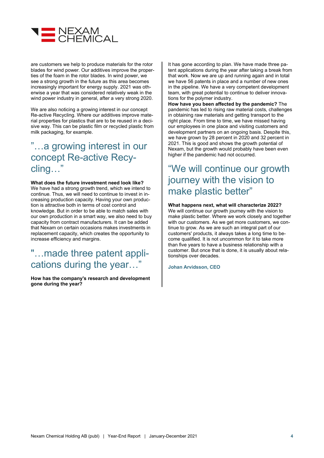

are customers we help to produce materials for the rotor blades for wind power. Our additives improve the properties of the foam in the rotor blades. In wind power, we see a strong growth in the future as this area becomes increasingly important for energy supply. 2021 was otherwise a year that was considered relatively weak in the wind power industry in general, after a very strong 2020.

We are also noticing a growing interest in our concept Re-active Recycling. Where our additives improve material properties for plastics that are to be reused in a decisive way. This can be plastic film or recycled plastic from milk packaging, for example.

### "…a growing interest in our concept Re-active Recycling…"

**What does the future investment need look like?** We have had a strong growth trend, which we intend to continue. Thus, we will need to continue to invest in increasing production capacity. Having your own production is attractive both in terms of cost control and knowledge. But in order to be able to match sales with our own production in a smart way, we also need to buy capacity from contract manufacturers. It can be added that Nexam on certain occasions makes investments in replacement capacity, which creates the opportunity to increase efficiency and margins.

### "…made three patent applications during the year…"

**How has the company's research and development gone during the year?**

It has gone according to plan. We have made three patent applications during the year after taking a break from that work. Now we are up and running again and in total we have 56 patents in place and a number of new ones in the pipeline. We have a very competent development team, with great potential to continue to deliver innovations for the polymer industry.

**How have you been affected by the pandemic?** The pandemic has led to rising raw material costs, challenges in obtaining raw materials and getting transport to the right place. From time to time, we have missed having our employees in one place and visiting customers and development partners on an ongoing basis. Despite this, we have grown by 28 percent in 2020 and 32 percent in 2021. This is good and shows the growth potential of Nexam, but the growth would probably have been even higher if the pandemic had not occurred.

### "We will continue our growth journey with the vision to make plastic better"

#### **What happens next, what will characterize 2022?**

We will continue our growth journey with the vision to make plastic better. Where we work closely and together with our customers. As we get more customers, we continue to grow. As we are such an integral part of our customers' products, it always takes a long time to become qualified. It is not uncommon for it to take more than five years to have a business relationship with a customer. But once that is done, it is usually about relationships over decades.

**Johan Arvidsson, CEO**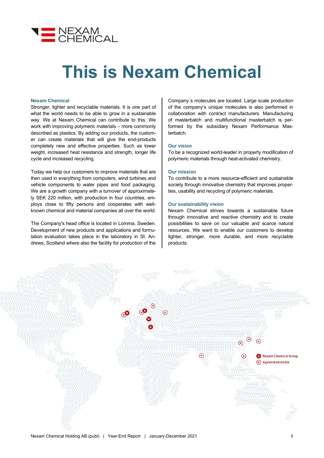

## **This is Nexam Chemical**

#### **Nexam Chemical**

Stronger, lighter and recyclable materials. It is one part of what the world needs to be able to grow in a sustainable way. We at Nexam Chemical can contribute to this. We work with improving polymeric materials – more commonly described as plastics. By adding our products, the customer can create materials that will give the end-products completely new and effective properties. Such as lower weight, increased heat resistance and strength, longer life cycle and increased recycling.

Today we help our customers to improve materials that are then used in everything from computers, wind turbines and vehicle components to water pipes and food packaging. We are a growth company with a turnover of approximately SEK 220 million, with production in four countries, employs close to fifty persons and cooperates with wellknown chemical and material companies all over the world.

The Company's head office is located in Lomma, Sweden. Development of new products and applications and formulation evaluation takes place in the laboratory in St. Andrews, Scotland where also the facility for production of the

Company´s molecules are located. Large scale production of the company's unique molecules is also performed in collaboration with contract manufacturers. Manufacturing of masterbatch and multifunctional masterbatch is performed by the subsidiary Nexam Performance Masterbatch.

#### **Our vision**

To be a recognized world-leader in property modification of polymeric materials through heat-activated chemistry.

#### **Our mission**

To contribute to a more resource-efficient and sustainable society through innovative chemistry that improves properties, usability and recycling of polymeric materials.

#### **Our sustainability vision**

Nexam Chemical strives towards a sustainable future through innovative and reactive chemistry and to create possibilities to save on our valuable and scarce natural resources. We want to enable our customers to develop lighter, stronger, more durable, and more recyclable products.

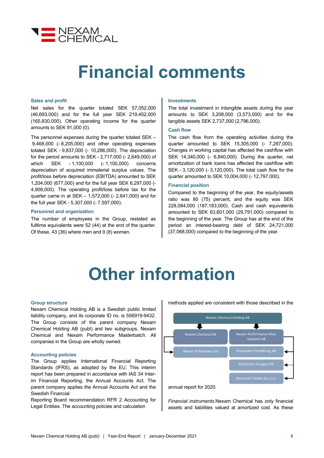

## **Financial comments**

#### **Sales and profit**

Net sales for the quarter totaled SEK 57,052,000 (46,693,000) and for the full year SEK 219,452,000 (165,830,000). Other operating income for the quarter amounts to SEK 91,000 (0).

The personnel expenses during the quarter totaled SEK – 9,468,000 (- 8,205,000) and other operating expenses totaled SEK - 9,837,000 (- 10,286,000). The depreciation for the period amounts to SEK - 2,717,000 (- 2,649,000) of which SEK - 1,100,000 (- 1,100,000) concerns depreciation of acquired immaterial surplus values. The profit/loss before depreciation (EBITDA) amounted to SEK 1,204,000 (677,000) and for the full year SEK 6,297,000 (- 4,908,000). The operating profit/loss before tax for the quarter came in at SEK – 1,572,000 (- 2,641,000) and for the full year SEK - 5,307,000 (- 7,597,000).

#### **Personnel and organization**

The number of employees in the Group, restated as fulltime equivalents were 52 (44) at the end of the quarter. Of these, 43 (36) where men and 9 (8) women.

#### **Investments**

The total investment in intangible assets during the year amounts to SEK 3,208,000 (3,573,000) and for the tangible assets SEK 2,737,000 (2,796,000).

#### **Cash flow**

The cash flow from the operating activities during the quarter amounted to SEK 15,305,000 (- 7,287,000). Changes in working capital has affected the cashflow with SEK 14,340,000 (- 6,840,000). During the quarter, net amortization of bank loans has affected the cashflow with SEK - 3,120,000 (- 3,120,000). The total cash flow for the quarter amounted to SEK 10,004,000 (- 12,797,000).

#### **Financial position**

Compared to the beginning of the year, the equity/assets ratio was 80 (75) percent, and the equity was SEK 228,084,000 (187,183,000). Cash and cash equivalents amounted to SEK 63,601,000 (29,791,000) compared to the beginning of the year. The Group has at the end of the period an interest-bearing debt of SEK 24,721,000 (37,068,000) compared to the beginning of the year.

### **Other information**

#### **Group structure**

Nexam Chemical Holding AB is a Swedish public limited liability company, and its corporate ID no. is 556919-9432. The Group consists of the parent company Nexam Chemical Holding AB (publ) and two subgroups, Nexam Chemical and Nexam Performance Masterbatch. All companies in the Group are wholly owned.

#### **Accounting policies**

The Group applies International Financial Reporting Standards (IFRS), as adopted by the EU. This interim report has been prepared in accordance with IAS 34 Interim Financial Reporting, the Annual Accounts Act. The parent company applies the Annual Accounts Act and the Swedish Financial

Reporting Board recommendation RFR 2 Accounting for Legal Entities. The accounting policies and calculation

methods applied are consistent with those described in the



*Financial instruments.*Nexam Chemical has only financial assets and liabilities valued at amortized cost. As these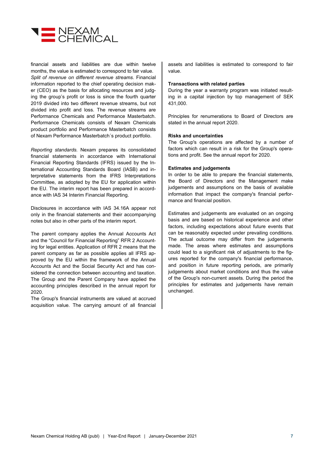

financial assets and liabilities are due within twelve months, the value is estimated to correspond to fair value. *Split of revenue on different revenue streams.* Financial information reported to the chief operating decision maker (CEO) as the basis for allocating resources and judging the group's profit or loss is since the fourth quarter 2019 divided into two different revenue streams, but not divided into profit and loss. The revenue streams are Performance Chemicals and Performance Masterbatch. Performance Chemicals consists of Nexam Chemicals product portfolio and Performance Masterbatch consists of Nexam Performance Masterbatch´s product portfolio.

*Reporting standards.* Nexam prepares its consolidated financial statements in accordance with International Financial Reporting Standards (IFRS) issued by the International Accounting Standards Board (IASB) and interpretative statements from the IFRS Interpretations Committee, as adopted by the EU for application within the EU. The interim report has been prepared in accordance with IAS 34 Interim Financial Reporting.

Disclosures in accordance with IAS 34.16A appear not only in the financial statements and their accompanying notes but also in other parts of the interim report.

The parent company applies the Annual Accounts Act and the "Council for Financial Reporting" RFR 2 Accounting for legal entities. Application of RFR 2 means that the parent company as far as possible applies all IFRS approved by the EU within the framework of the Annual Accounts Act and the Social Security Act and has considered the connection between accounting and taxation. The Group and the Parent Company have applied the accounting principles described in the annual report for 2020.

The Group's financial instruments are valued at accrued acquisition value. The carrying amount of all financial assets and liabilities is estimated to correspond to fair value.

#### **Transactions with related parties**

During the year a warranty program was initiated resulting in a capital injection by top management of SEK 431,000.

Principles for renumerations to Board of Directors are stated in the annual report 2020.

#### **Risks and uncertainties**

The Group's operations are affected by a number of factors which can result in a risk for the Group's operations and profit. See the annual report for 2020.

#### **Estimates and judgements**

In order to be able to prepare the financial statements, the Board of Directors and the Management make judgements and assumptions on the basis of available information that impact the company's financial performance and financial position.

Estimates and judgements are evaluated on an ongoing basis and are based on historical experience and other factors, including expectations about future events that can be reasonably expected under prevailing conditions. The actual outcome may differ from the judgements made. The areas where estimates and assumptions could lead to a significant risk of adjustments to the figures reported for the company's financial performance, and position in future reporting periods, are primarily judgements about market conditions and thus the value of the Group's non-current assets. During the period the principles for estimates and judgements have remain unchanged.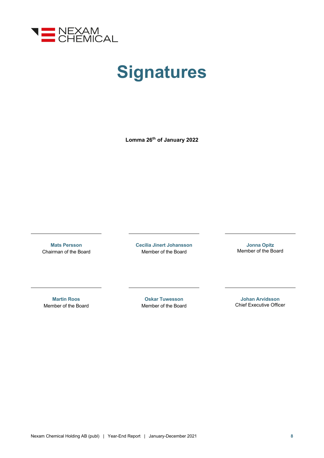

## **Signatures**

**Lomma 26th of January 2022**

**Mats Persson** Chairman of the Board **Cecilia Jinert Johansson** Member of the Board

**Jonna Opitz** Member of the Board

**Martin Roos** Member of the Board

**Oskar Tuwesson** Member of the Board

**Johan Arvidsson** Chief Executive Officer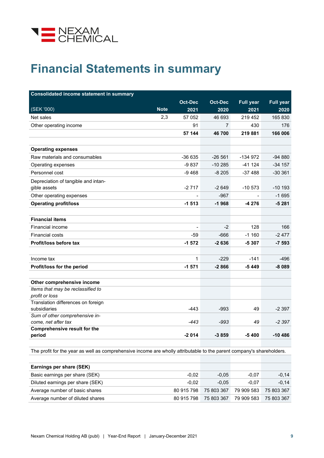

### **Financial Statements in summary**

| <b>Consolidated income statement in summary</b> |             |                |                |                  |                  |
|-------------------------------------------------|-------------|----------------|----------------|------------------|------------------|
|                                                 |             | <b>Oct-Dec</b> | <b>Oct-Dec</b> | <b>Full year</b> | <b>Full year</b> |
| (SEK '000)                                      | <b>Note</b> | 2021           | 2020           | 2021             | 2020             |
| Net sales                                       | 2,3         | 57 052         | 46 693         | 219 452          | 165 830          |
| Other operating income                          |             | 91             | 7              | 430              | 176              |
|                                                 |             | 57 144         | 46700          | 219 881          | 166 006          |
|                                                 |             |                |                |                  |                  |
| <b>Operating expenses</b>                       |             |                |                |                  |                  |
| Raw materials and consumables                   |             | $-36635$       | $-26561$       | -134 972         | $-94880$         |
| Operating expenses                              |             | -9 837         | $-10285$       | $-41124$         | $-34$ 157        |
| Personnel cost                                  |             | $-9468$        | $-8205$        | $-37488$         | $-30361$         |
| Depreciation of tangible and intan-             |             |                |                |                  |                  |
| gible assets                                    |             | $-2717$        | $-2649$        | $-10573$         | $-10$ 193        |
| Other operating expenses                        |             |                | $-967$         |                  | $-1695$          |
| <b>Operating profit/loss</b>                    |             | $-1513$        | $-1968$        | -4 276           | $-5281$          |
|                                                 |             |                |                |                  |                  |
| <b>Financial items</b>                          |             |                |                |                  |                  |
| Financial income                                |             |                | $-2$           | 128              | 166              |
| <b>Financial costs</b>                          |             | $-59$          | $-666$         | $-1160$          | $-2477$          |
| Profit/loss before tax                          |             | $-1572$        | $-2636$        | $-5307$          | $-7593$          |
|                                                 |             |                |                |                  |                  |
| Income tax                                      |             | $\mathbf{1}$   | $-229$         | $-141$           | -496             |
| Profit/loss for the period                      |             | $-1571$        | $-2866$        | -5449            | $-8089$          |
|                                                 |             |                |                |                  |                  |
| Other comprehensive income                      |             |                |                |                  |                  |
| Items that may be reclassified to               |             |                |                |                  |                  |
| profit or loss                                  |             |                |                |                  |                  |
| Translation differences on foreign              |             |                |                |                  |                  |
| subsidiaries                                    |             | $-443$         | $-993$         | 49               | $-2397$          |
| Sum of other comprehensive in-                  |             |                |                |                  |                  |
| come, net after tax                             |             | $-443$         | $-993$         | 49               | $-2397$          |
| <b>Comprehensive result for the</b>             |             | $-2014$        | $-3859$        | $-5400$          | $-10486$         |
| period                                          |             |                |                |                  |                  |

The profit for the year as well as comprehensive income are wholly attributable to the parent company's shareholders.

| Earnings per share (SEK)         |            |            |            |            |
|----------------------------------|------------|------------|------------|------------|
| Basic earnings per share (SEK)   | $-0.02$    | $-0.05$    | $-0.07$    | $-0,14$    |
| Diluted earnings per share (SEK) | $-0.02$    | $-0.05$    | $-0.07$    | $-0,14$    |
| Average number of basic shares   | 80 915 798 | 75 803 367 | 79 909 583 | 75 803 367 |
| Average number of diluted shares | 80 915 798 | 75 803 367 | 79 909 583 | 75 803 367 |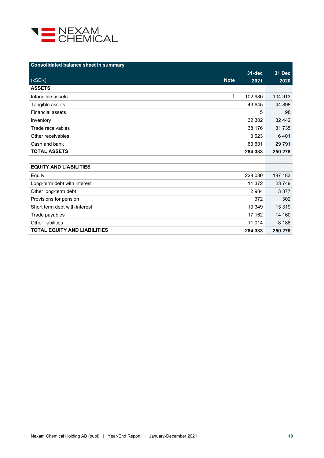

| <b>Consolidated balance sheet in summary</b> |             |            |               |
|----------------------------------------------|-------------|------------|---------------|
|                                              |             | $31 - dec$ | <b>31 Dec</b> |
| (kSEK)                                       | <b>Note</b> | 2021       | 2020          |
| <b>ASSETS</b>                                |             |            |               |
| Intangible assets                            | 1           | 102 980    | 104 913       |
| Tangible assets                              |             | 43 645     | 44 898        |
| <b>Financial assets</b>                      |             | 5          | 98            |
| Inventory                                    |             | 32 302     | 32 442        |
| Trade receivables                            |             | 38 176     | 31 7 35       |
| Other receivables                            |             | 3623       | 6401          |
| Cash and bank                                |             | 63 601     | 29 7 9 1      |
| <b>TOTAL ASSETS</b>                          |             | 284 333    | 250 278       |
|                                              |             |            |               |
| <b>EQUITY AND LIABILITIES</b>                |             |            |               |
| Equity                                       |             | 228 080    | 187 183       |
| Long-term debt with interest                 |             | 11 372     | 23 749        |
| Other long-term debt                         |             | 2 9 8 4    | 3 3 7 7       |
| Provisions for pension                       |             | 372        | 302           |
| Short term debt with interest                |             | 13 349     | 13 3 19       |
| Trade payables                               |             | 17 162     | 14 160        |
| Other liabilities                            |             | 11 0 14    | 8 1 8 8       |
| <b>TOTAL EQUITY AND LIABILITIES</b>          |             | 284 333    | 250 278       |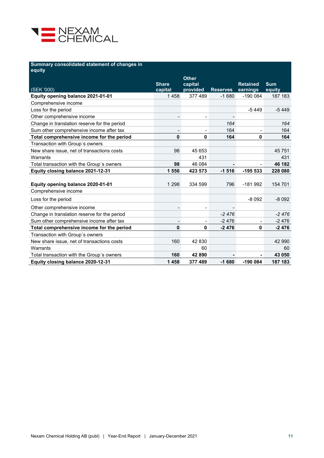

#### **Summary consolidated statement of changes in**

| equity                                       |                          |                          |                 |                             |                      |
|----------------------------------------------|--------------------------|--------------------------|-----------------|-----------------------------|----------------------|
|                                              |                          | <b>Other</b>             |                 |                             |                      |
| (SEK '000)                                   | <b>Share</b><br>capital  | capital<br>provided      | <b>Reserves</b> | <b>Retained</b><br>earnings | <b>Sum</b><br>equity |
| Equity opening balance 2021-01-01            | 1458                     | 377 489                  | $-1680$         | $-1900084$                  | 187 183              |
| Comprehensive income                         |                          |                          |                 |                             |                      |
| Loss for the period                          |                          |                          |                 | $-5449$                     | $-5449$              |
| Other comprehensive income                   |                          |                          |                 |                             |                      |
| Change in translation reserve for the period |                          |                          | 164             |                             | 164                  |
| Sum other comprehensive income after tax     | $\overline{\phantom{0}}$ | $\overline{\phantom{a}}$ | 164             |                             | 164                  |
| Total comprehensive income for the period    | 0                        | 0                        | 164             | 0                           | 164                  |
| Transaction with Group's owners              |                          |                          |                 |                             |                      |
| New share issue, net of transactions costs   | 98                       | 45 653                   |                 |                             | 45 751               |
| Warrants                                     |                          | 431                      |                 |                             | 431                  |
| Total transaction with the Group's owners    | 98                       | 46 084                   |                 |                             | 46 182               |
| Equity closing balance 2021-12-31            | 1556                     | 423 573                  | $-1516$         | $-195533$                   | 228 080              |
|                                              |                          |                          |                 |                             |                      |
| Equity opening balance 2020-01-01            | 1 2 9 8                  | 334 599                  | 796             | $-181992$                   | 154 701              |
| Comprehensive income                         |                          |                          |                 |                             |                      |
| Loss for the period                          |                          |                          |                 | $-8092$                     | $-8092$              |
| Other comprehensive income                   |                          |                          |                 |                             |                      |
| Change in translation reserve for the period |                          |                          | $-2476$         |                             | $-2476$              |
| Sum other comprehensive income after tax     | $\overline{\phantom{0}}$ | $\overline{\phantom{a}}$ | $-2476$         | $\overline{\phantom{0}}$    | $-2476$              |
| Total comprehensive income for the period    | 0                        | 0                        | $-2476$         | $\mathbf 0$                 | $-2476$              |
| Transaction with Group's owners              |                          |                          |                 |                             |                      |
| New share issue, net of transactions costs   | 160                      | 42 830                   |                 |                             | 42 990               |
| Warrants                                     |                          | 60                       |                 |                             | 60                   |
| Total transaction with the Group's owners    | 160                      | 42 890                   |                 |                             | 43 050               |
| Equity closing balance 2020-12-31            | 1458                     | 377 489                  | $-1680$         | $-1900084$                  | 187 183              |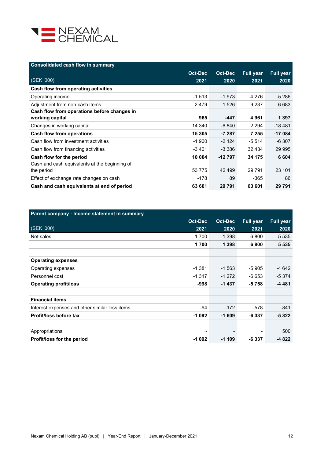

| <b>Consolidated cash flow in summary</b>      |                |                |                  |                  |
|-----------------------------------------------|----------------|----------------|------------------|------------------|
|                                               | <b>Oct-Dec</b> | <b>Oct-Dec</b> | <b>Full year</b> | <b>Full year</b> |
| (SEK '000)                                    | 2021           | 2020           | 2021             | 2020             |
| Cash flow from operating activities           |                |                |                  |                  |
| Operating income                              | $-1513$        | $-1973$        | $-4276$          | $-5286$          |
| Adjustment from non-cash items                | 2479           | 1 5 2 6        | 9 2 3 7          | 6 6 8 3          |
| Cash flow from operations before changes in   |                |                |                  |                  |
| working capital                               | 965            | -447           | 4961             | 1 3 9 7          |
| Changes in working capital                    | 14 340         | -6 840         | 2 2 9 4          | $-18481$         |
| <b>Cash flow from operations</b>              | 15 305         | $-7287$        | 7 2 5 5          | $-17084$         |
| Cash flow from investment activities          | $-1900$        | $-2.124$       | $-5514$          | $-6307$          |
| Cash flow from financing activities           | $-3401$        | $-3.386$       | 32 4 34          | 29 9 9 5         |
| Cash flow for the period                      | 10 004         | $-12797$       | 34 175           | 6 604            |
| Cash and cash equivalents at the beginning of |                |                |                  |                  |
| the period                                    | 53 7 7 5       | 42 499         | 29 791           | 23 101           |
| Effect of exchange rate changes on cash       | $-178$         | 89             | $-365$           | 86               |
| Cash and cash equivalents at end of period    | 63 601         | 29 791         | 63 601           | 29 791           |

| Parent company - Income statement in summary   |                |         |                  |                  |
|------------------------------------------------|----------------|---------|------------------|------------------|
|                                                | <b>Oct-Dec</b> | Oct-Dec | <b>Full year</b> | <b>Full year</b> |
| (SEK '000)                                     | 2021           | 2020    | 2021             | 2020             |
| Net sales                                      | 1700           | 1 3 9 8 | 6800             | 5 5 3 5          |
|                                                | 1700           | 1 3 9 8 | 6800             | 5 5 3 5          |
|                                                |                |         |                  |                  |
| <b>Operating expenses</b>                      |                |         |                  |                  |
| Operating expenses                             | $-1.381$       | $-1563$ | -5 905           | $-4642$          |
| Personnel cost                                 | $-1317$        | $-1272$ | $-6653$          | $-5374$          |
| <b>Operating profit/loss</b>                   | -998           | $-1437$ | $-5758$          | -4 481           |
|                                                |                |         |                  |                  |
| <b>Financial items</b>                         |                |         |                  |                  |
| Interest expenses and other similar loss items | -94            | $-172$  | -578             | $-841$           |
| Profit/loss before tax                         | $-1092$        | $-1609$ | $-6337$          | $-5322$          |
|                                                |                |         |                  |                  |
| Appropriations                                 |                |         |                  | 500              |
| Profit/loss for the period                     | $-1092$        | $-1109$ | -6 337           | $-4822$          |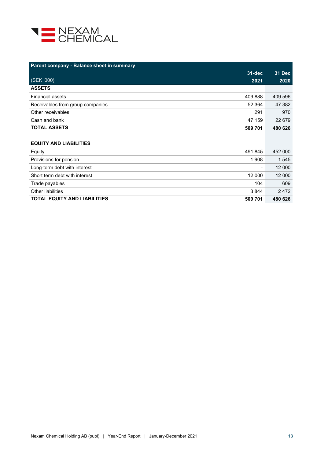

| Parent company - Balance sheet in summary                |               |
|----------------------------------------------------------|---------------|
| $31 - \overline{dec}$                                    | <b>31 Dec</b> |
| (SEK'000)<br>2021                                        | 2020          |
| <b>ASSETS</b>                                            |               |
| <b>Financial assets</b><br>409 888                       | 409 596       |
| 52 364<br>Receivables from group companies               | 47 382        |
| Other receivables<br>291                                 | 970           |
| Cash and bank<br>47 159                                  | 22 679        |
| <b>TOTAL ASSETS</b><br>509 701                           | 480 626       |
|                                                          |               |
| <b>EQUITY AND LIABILITIES</b>                            |               |
| 491 845<br>Equity                                        | 452 000       |
| 1908<br>Provisions for pension                           | 1 545         |
| Long-term debt with interest<br>$\overline{\phantom{0}}$ | 12 000        |
| Short term debt with interest<br>12 000                  | 12 000        |
| 104<br>Trade payables                                    | 609           |
| Other liabilities<br>3844                                | 2472          |
| <b>TOTAL EQUITY AND LIABILITIES</b><br>509 701           | 480 626       |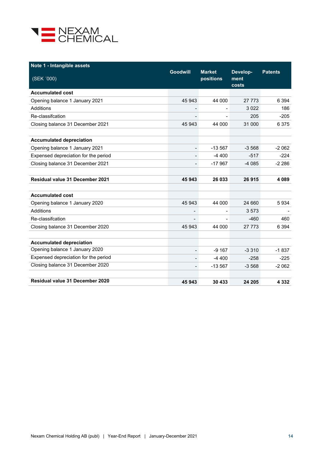

| Note 1 - Intangible assets             |                          |                            |                           |                |
|----------------------------------------|--------------------------|----------------------------|---------------------------|----------------|
| (SEK '000)                             | <b>Goodwill</b>          | <b>Market</b><br>positions | Develop-<br>ment<br>costs | <b>Patents</b> |
| <b>Accumulated cost</b>                |                          |                            |                           |                |
| Opening balance 1 January 2021         | 45 943                   | 44 000                     | 27 773                    | 6 3 9 4        |
| Additions                              |                          |                            | 3022                      | 186            |
| Re-classification                      |                          |                            | 205                       | $-205$         |
| Closing balance 31 December 2021       | 45 943                   | 44 000                     | 31 000                    | 6375           |
| <b>Accumulated depreciation</b>        |                          |                            |                           |                |
| Opening balance 1 January 2021         | $\overline{\phantom{0}}$ | $-13.567$                  | $-3.568$                  | $-2062$        |
| Expensed depreciation for the period   | $\overline{\phantom{0}}$ | $-4400$                    | $-517$                    | $-224$         |
| Closing balance 31 December 2021       |                          | $-17967$                   | $-4085$                   | $-2286$        |
| <b>Residual value 31 December 2021</b> | 45 943                   | 26 033                     | 26915                     | 4089           |
| <b>Accumulated cost</b>                |                          |                            |                           |                |
| Opening balance 1 January 2020         | 45 943                   | 44 000                     | 24 660                    | 5934           |
| Additions                              |                          |                            | 3573                      |                |
| Re-classifcation                       | $\overline{a}$           |                            | $-460$                    | 460            |
| Closing balance 31 December 2020       | 45 943                   | 44 000                     | 27 7 7 3                  | 6 3 9 4        |
| <b>Accumulated depreciation</b>        |                          |                            |                           |                |
| Opening balance 1 January 2020         | $\overline{\phantom{a}}$ | $-9167$                    | $-3310$                   | $-1837$        |
| Expensed depreciation for the period   | $\overline{\phantom{0}}$ | $-4400$                    | $-258$                    | $-225$         |
| Closing balance 31 December 2020       | $\overline{\phantom{0}}$ | $-13567$                   | $-3568$                   | $-2062$        |
| <b>Residual value 31 December 2020</b> | 45 943                   | 30 433                     | 24 205                    | 4 3 3 2        |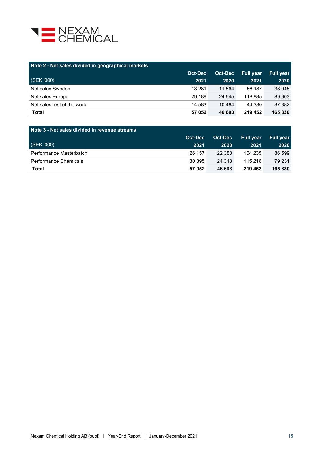

| Note 2 - Net sales divided in geographical markets |                |          |                  |                  |  |  |
|----------------------------------------------------|----------------|----------|------------------|------------------|--|--|
|                                                    | <b>Oct-Dec</b> | Oct-Dec  | <b>Full year</b> | <b>Full vear</b> |  |  |
| (SEK '000)                                         | 2021           | 2020     | 2021             | 2020             |  |  |
| Net sales Sweden                                   | 13 2 8 1       | 11 564   | 56 187           | 38 045           |  |  |
| Net sales Europe                                   | 29 189         | 24 645   | 118 885          | 89 903           |  |  |
| Net sales rest of the world                        | 14 583         | 10 4 8 4 | 44 380           | 37 882           |  |  |
| <b>Total</b>                                       | 57 052         | 46 693   | 219 452          | 165 830          |  |  |

| Note 3 - Net sales divided in revenue streams |         |         |                  |                  |  |  |
|-----------------------------------------------|---------|---------|------------------|------------------|--|--|
|                                               | Oct-Dec | Oct-Dec | <b>Full vear</b> | <b>Full vear</b> |  |  |
| (SEK '000)                                    | 2021    | 2020    | 2021             | 2020             |  |  |
| Performance Masterbatch                       | 26 157  | 22 380  | 104 235          | 86 599           |  |  |
| Performance Chemicals                         | 30 895  | 24 3 13 | 115 216          | 79 231           |  |  |
| Total                                         | 57 052  | 46 693  | 219 452          | 165 830          |  |  |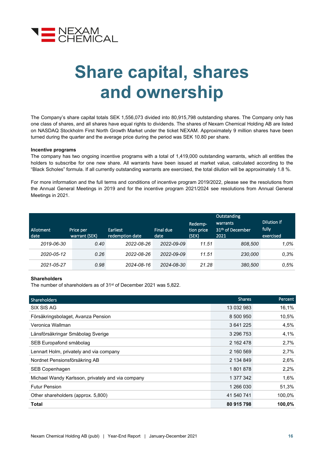

## **Share capital, shares and ownership**

The Company's share capital totals SEK 1,556,073 divided into 80,915,798 outstanding shares. The Company only has one class of shares, and all shares have equal rights to dividends. The shares of Nexam Chemical Holding AB are listed on NASDAQ Stockholm First North Growth Market under the ticket NEXAM. Approximately 9 million shares have been turned during the quarter and the average price during the period was SEK 10.80 per share.

#### **Incentive programs**

The company has two ongoing incentive programs with a total of 1,419,000 outstanding warrants, which all entitles the holders to subscribe for one new share. All warrants have been issued at market value, calculated according to the "Black Scholes" formula. If all currently outstanding warrants are exercised, the total dilution will be approximately 1.8 %.

For more information and the full terms and conditions of incentive program 2019/2022, please see the resolutions from the Annual General Meetings in [2019](http://www.nexamchemical.com/secure/CMS/?language=en#context=epi.cms.contentdata:///245&viewsetting=active:///true) and for the incentive program 2021/2024 see resolutions from Annual General Meetings in 2021.

| <b>Allotment</b><br>date | Price per<br>warrant (SEK) | Earliest<br>redemption date | Final due<br>date | Redemp-<br>tion price<br>(SEK) | Outstanding<br>warrants<br>31 <sup>th</sup> of December<br>2021 | Dilution if<br>fully<br>exercised |
|--------------------------|----------------------------|-----------------------------|-------------------|--------------------------------|-----------------------------------------------------------------|-----------------------------------|
| 2019-06-30               | 0.40                       | 2022-08-26                  | 2022-09-09        | 11.51                          | 808.500                                                         | 1.0%                              |
| 2020-05-12               | 0.26                       | 2022-08-26                  | 2022-09-09        | 11.51                          | 230,000                                                         | 0.3%                              |
| 2021-05-27               | 0.98                       | 2024-08-16                  | 2024-08-30        | 21.28                          | 380,500                                                         | 0.5%                              |

#### **Shareholders**

The number of shareholders as of 31<sup>st</sup> of December 2021 was 5,822.

| <b>Shareholders</b>                               | <b>Shares</b> | Percent |
|---------------------------------------------------|---------------|---------|
| SIX SIS AG                                        | 13 032 983    | 16,1%   |
| Försäkringsbolaget, Avanza Pension                | 8 500 950     | 10,5%   |
| Veronica Wallman                                  | 3 641 225     | 4,5%    |
| Länsförsäkringar Småbolag Sverige                 | 3 296 753     | 4,1%    |
| SEB Europafond småbolag                           | 2 162 478     | 2,7%    |
| Lennart Holm, privately and via company           | 2 160 569     | 2,7%    |
| Nordnet Pensionsförsäkring AB                     | 2 134 849     | 2,6%    |
| SEB Copenhagen                                    | 1801878       | 2,2%    |
| Michael Wandy Karlsson, privately and via company | 1 377 342     | 1,6%    |
| <b>Futur Pension</b>                              | 1 266 030     | 51,3%   |
| Other shareholders (approx. 5,800)                | 41 540 741    | 100,0%  |
| Total                                             | 80 915 798    | 100,0%  |